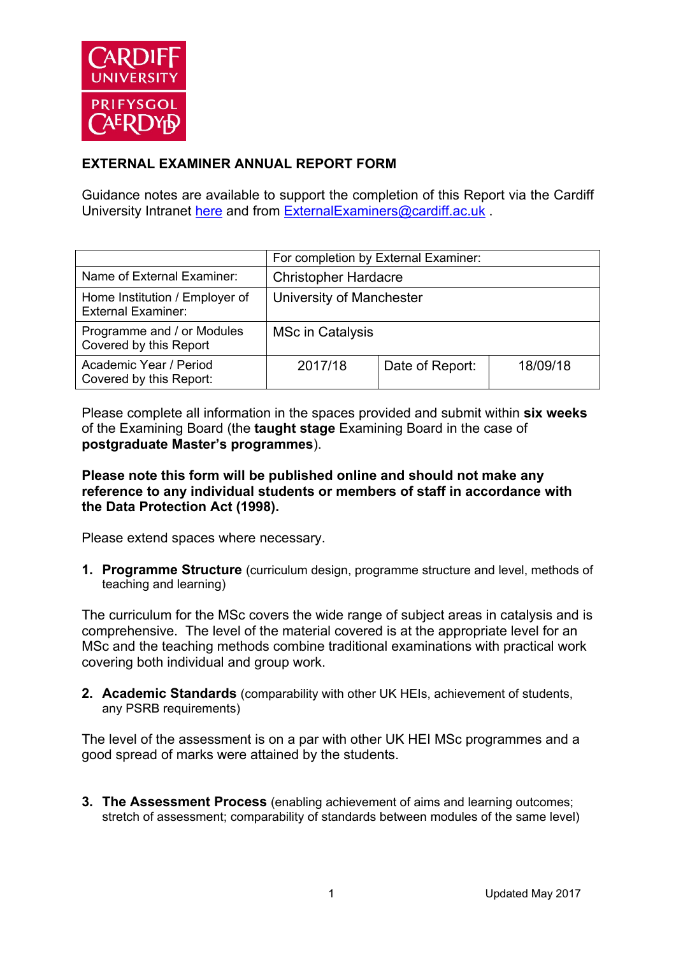

# **EXTERNAL EXAMINER ANNUAL REPORT FORM**

Guidance notes are available to support the completion of this Report via the Cardiff University Intranet here and from ExternalExaminers@cardiff.ac.uk

|                                                             | For completion by External Examiner: |                 |          |
|-------------------------------------------------------------|--------------------------------------|-----------------|----------|
| Name of External Examiner:                                  | <b>Christopher Hardacre</b>          |                 |          |
| Home Institution / Employer of<br><b>External Examiner:</b> | University of Manchester             |                 |          |
| Programme and / or Modules<br>Covered by this Report        | MSc in Catalysis                     |                 |          |
| Academic Year / Period<br>Covered by this Report:           | 2017/18                              | Date of Report: | 18/09/18 |

Please complete all information in the spaces provided and submit within **six weeks** of the Examining Board (the **taught stage** Examining Board in the case of **postgraduate Master's programmes**).

#### **Please note this form will be published online and should not make any reference to any individual students or members of staff in accordance with the Data Protection Act (1998).**

Please extend spaces where necessary.

**1. Programme Structure** (curriculum design, programme structure and level, methods of teaching and learning)

The curriculum for the MSc covers the wide range of subject areas in catalysis and is comprehensive. The level of the material covered is at the appropriate level for an MSc and the teaching methods combine traditional examinations with practical work covering both individual and group work.

**2. Academic Standards** (comparability with other UK HEIs, achievement of students, any PSRB requirements)

The level of the assessment is on a par with other UK HEI MSc programmes and a good spread of marks were attained by the students.

**3. The Assessment Process** (enabling achievement of aims and learning outcomes; stretch of assessment; comparability of standards between modules of the same level)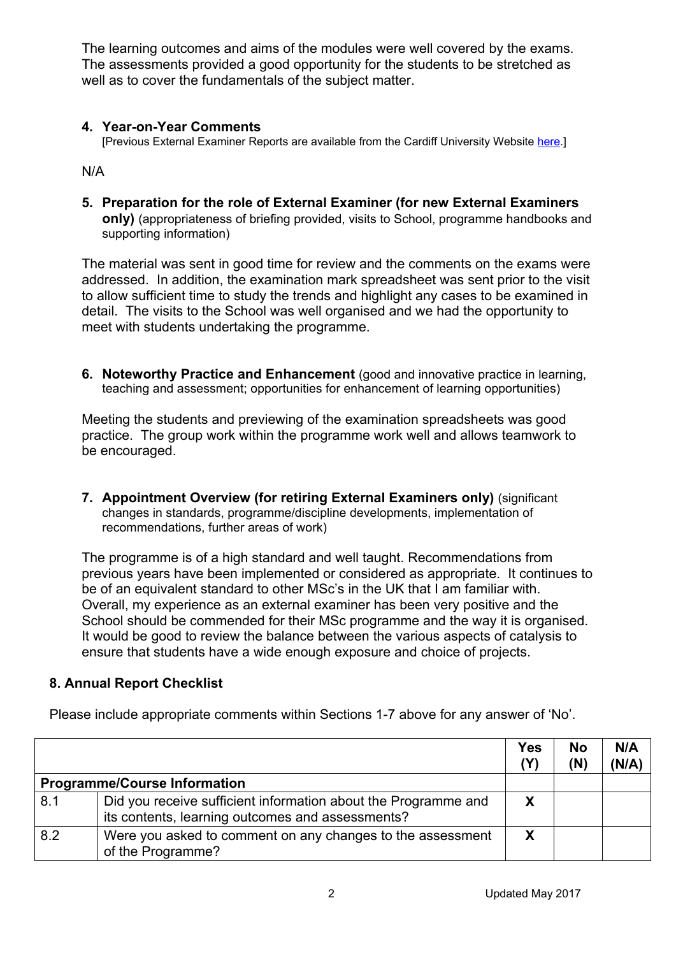The learning outcomes and aims of the modules were well covered by the exams. The assessments provided a good opportunity for the students to be stretched as well as to cover the fundamentals of the subject matter.

### **4. Year-on-Year Comments**

[Previous External Examiner Reports are available from the Cardiff University Website here.]

N/A

**5. Preparation for the role of External Examiner (for new External Examiners only)** (appropriateness of briefing provided, visits to School, programme handbooks and supporting information)

The material was sent in good time for review and the comments on the exams were addressed. In addition, the examination mark spreadsheet was sent prior to the visit to allow sufficient time to study the trends and highlight any cases to be examined in detail. The visits to the School was well organised and we had the opportunity to meet with students undertaking the programme.

**6. Noteworthy Practice and Enhancement** (good and innovative practice in learning, teaching and assessment; opportunities for enhancement of learning opportunities)

Meeting the students and previewing of the examination spreadsheets was good practice. The group work within the programme work well and allows teamwork to be encouraged.

**7. Appointment Overview (for retiring External Examiners only)** (significant changes in standards, programme/discipline developments, implementation of recommendations, further areas of work)

The programme is of a high standard and well taught. Recommendations from previous years have been implemented or considered as appropriate. It continues to be of an equivalent standard to other MSc's in the UK that I am familiar with. Overall, my experience as an external examiner has been very positive and the School should be commended for their MSc programme and the way it is organised. It would be good to review the balance between the various aspects of catalysis to ensure that students have a wide enough exposure and choice of projects.

## **8. Annual Report Checklist**

|     |                                                                                                                    | <b>Yes</b><br>(Y) | <b>No</b><br>(N) | N/A<br>(N/A) |
|-----|--------------------------------------------------------------------------------------------------------------------|-------------------|------------------|--------------|
|     | <b>Programme/Course Information</b>                                                                                |                   |                  |              |
| 8.1 | Did you receive sufficient information about the Programme and<br>its contents, learning outcomes and assessments? | X                 |                  |              |
| 8.2 | Were you asked to comment on any changes to the assessment<br>of the Programme?                                    | X                 |                  |              |

Please include appropriate comments within Sections 1-7 above for any answer of 'No'.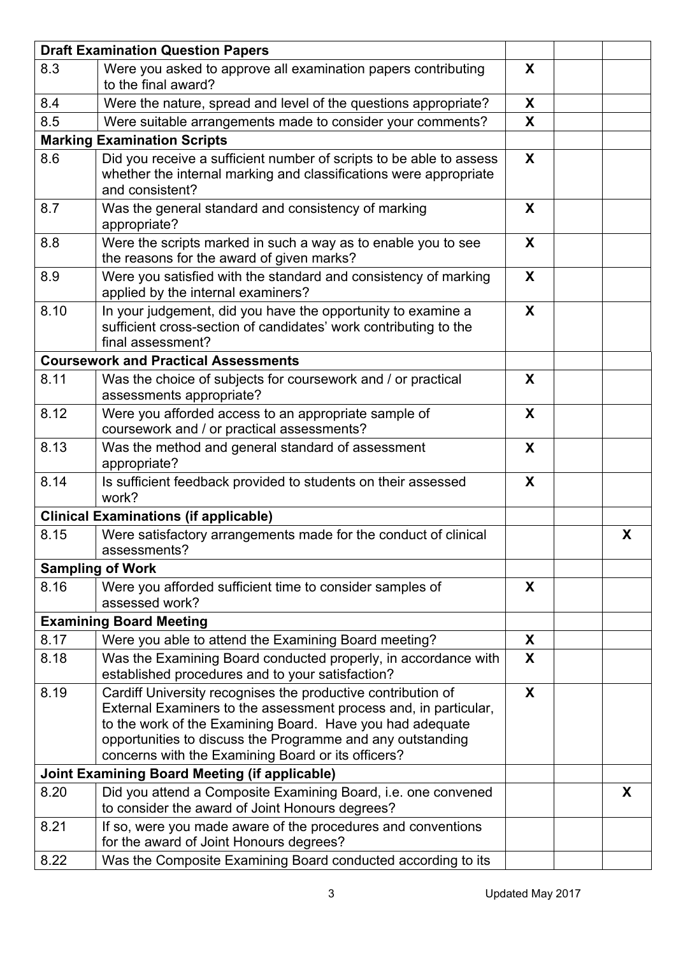|                                                      | <b>Draft Examination Question Papers</b>                                                                                                                                                                                                                                                                          |              |   |
|------------------------------------------------------|-------------------------------------------------------------------------------------------------------------------------------------------------------------------------------------------------------------------------------------------------------------------------------------------------------------------|--------------|---|
| 8.3                                                  | Were you asked to approve all examination papers contributing<br>to the final award?                                                                                                                                                                                                                              | X            |   |
| 8.4                                                  | Were the nature, spread and level of the questions appropriate?                                                                                                                                                                                                                                                   | X            |   |
| 8.5                                                  | Were suitable arrangements made to consider your comments?                                                                                                                                                                                                                                                        | X            |   |
|                                                      | <b>Marking Examination Scripts</b>                                                                                                                                                                                                                                                                                |              |   |
| 8.6                                                  | Did you receive a sufficient number of scripts to be able to assess<br>whether the internal marking and classifications were appropriate<br>and consistent?                                                                                                                                                       | X            |   |
| 8.7                                                  | Was the general standard and consistency of marking<br>appropriate?                                                                                                                                                                                                                                               | X            |   |
| 8.8                                                  | Were the scripts marked in such a way as to enable you to see<br>the reasons for the award of given marks?                                                                                                                                                                                                        | X            |   |
| 8.9                                                  | Were you satisfied with the standard and consistency of marking<br>applied by the internal examiners?                                                                                                                                                                                                             | X            |   |
| 8.10                                                 | In your judgement, did you have the opportunity to examine a<br>sufficient cross-section of candidates' work contributing to the<br>final assessment?                                                                                                                                                             | X            |   |
|                                                      | <b>Coursework and Practical Assessments</b>                                                                                                                                                                                                                                                                       |              |   |
| 8.11                                                 | Was the choice of subjects for coursework and / or practical<br>assessments appropriate?                                                                                                                                                                                                                          | X            |   |
| 8.12                                                 | Were you afforded access to an appropriate sample of<br>coursework and / or practical assessments?                                                                                                                                                                                                                | X            |   |
| 8.13                                                 | Was the method and general standard of assessment<br>appropriate?                                                                                                                                                                                                                                                 | X            |   |
| 8.14                                                 | Is sufficient feedback provided to students on their assessed<br>work?                                                                                                                                                                                                                                            | X            |   |
|                                                      | <b>Clinical Examinations (if applicable)</b>                                                                                                                                                                                                                                                                      |              |   |
| 8.15                                                 | Were satisfactory arrangements made for the conduct of clinical<br>assessments?                                                                                                                                                                                                                                   |              | X |
|                                                      | <b>Sampling of Work</b>                                                                                                                                                                                                                                                                                           |              |   |
| 8.16                                                 | Were you afforded sufficient time to consider samples of<br>assessed work?                                                                                                                                                                                                                                        | X            |   |
|                                                      | <b>Examining Board Meeting</b>                                                                                                                                                                                                                                                                                    |              |   |
| 8.17                                                 | Were you able to attend the Examining Board meeting?                                                                                                                                                                                                                                                              | X            |   |
| 8.18                                                 | Was the Examining Board conducted properly, in accordance with<br>established procedures and to your satisfaction?                                                                                                                                                                                                | $\mathsf{X}$ |   |
| 8.19                                                 | Cardiff University recognises the productive contribution of<br>External Examiners to the assessment process and, in particular,<br>to the work of the Examining Board. Have you had adequate<br>opportunities to discuss the Programme and any outstanding<br>concerns with the Examining Board or its officers? | X            |   |
| <b>Joint Examining Board Meeting (if applicable)</b> |                                                                                                                                                                                                                                                                                                                   |              |   |
| 8.20                                                 | Did you attend a Composite Examining Board, i.e. one convened<br>to consider the award of Joint Honours degrees?                                                                                                                                                                                                  |              | X |
| 8.21                                                 | If so, were you made aware of the procedures and conventions<br>for the award of Joint Honours degrees?                                                                                                                                                                                                           |              |   |
| 8.22                                                 | Was the Composite Examining Board conducted according to its                                                                                                                                                                                                                                                      |              |   |